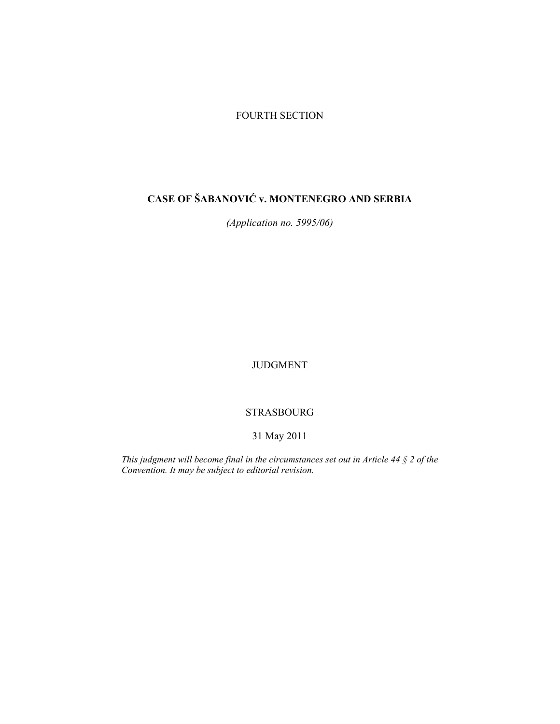# FOURTH SECTION

# **CASE OF ŠABANOVIĆ v. MONTENEGRO AND SERBIA**

*(Application no. 5995/06)* 

JUDGMENT

# STRASBOURG

# 31 May 2011

*This judgment will become final in the circumstances set out in Article 44 § 2 of the Convention. It may be subject to editorial revision.*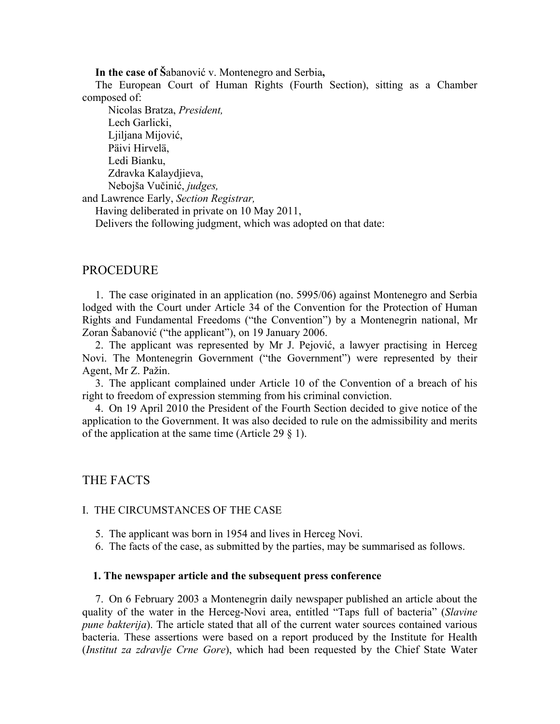**In the case of Š**abanović v. Montenegro and Serbia**,** 

The European Court of Human Rights (Fourth Section), sitting as a Chamber composed of:

 Nicolas Bratza, *President,*  Lech Garlicki, Ljiljana Mijović, Päivi Hirvelä, Ledi Bianku, Zdravka Kalaydjieva, Nebojša Vučinić, *judges,* and Lawrence Early, *Section Registrar,* Having deliberated in private on 10 May 2011,

Delivers the following judgment, which was adopted on that date:

# PROCEDURE

1. The case originated in an application (no. 5995/06) against Montenegro and Serbia lodged with the Court under Article 34 of the Convention for the Protection of Human Rights and Fundamental Freedoms ("the Convention") by a Montenegrin national, Mr Zoran Šabanović ("the applicant"), on 19 January 2006.

2. The applicant was represented by Mr J. Pejović, a lawyer practising in Herceg Novi. The Montenegrin Government ("the Government") were represented by their Agent, Mr Z. Pažin.

3. The applicant complained under Article 10 of the Convention of a breach of his right to freedom of expression stemming from his criminal conviction.

4. On 19 April 2010 the President of the Fourth Section decided to give notice of the application to the Government. It was also decided to rule on the admissibility and merits of the application at the same time (Article 29  $\S$  1).

## THE FACTS

#### I. THE CIRCUMSTANCES OF THE CASE

- 5. The applicant was born in 1954 and lives in Herceg Novi.
- 6. The facts of the case, as submitted by the parties, may be summarised as follows.

### **1. The newspaper article and the subsequent press conference**

7. On 6 February 2003 a Montenegrin daily newspaper published an article about the quality of the water in the Herceg-Novi area, entitled "Taps full of bacteria" (*Slavine pune bakterija*). The article stated that all of the current water sources contained various bacteria. These assertions were based on a report produced by the Institute for Health (*Institut za zdravlje Crne Gore*), which had been requested by the Chief State Water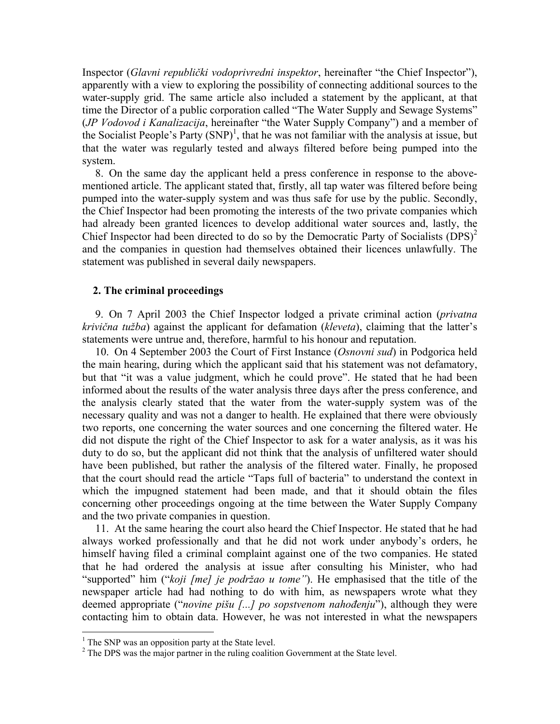Inspector (*Glavni republički vodoprivredni inspektor*, hereinafter "the Chief Inspector"), apparently with a view to exploring the possibility of connecting additional sources to the water-supply grid. The same article also included a statement by the applicant, at that time the Director of a public corporation called "The Water Supply and Sewage Systems" (*JP Vodovod i Kanalizacija*, hereinafter "the Water Supply Company") and a member of the Socialist People's Party  $(SNP)^1$ , that he was not familiar with the analysis at issue, but that the water was regularly tested and always filtered before being pumped into the system.

8. On the same day the applicant held a press conference in response to the abovementioned article. The applicant stated that, firstly, all tap water was filtered before being pumped into the water-supply system and was thus safe for use by the public. Secondly, the Chief Inspector had been promoting the interests of the two private companies which had already been granted licences to develop additional water sources and, lastly, the Chief Inspector had been directed to do so by the Democratic Party of Socialists  $(DPS)^2$ and the companies in question had themselves obtained their licences unlawfully. The statement was published in several daily newspapers.

## **2. The criminal proceedings**

9. On 7 April 2003 the Chief Inspector lodged a private criminal action (*privatna krivična tužba*) against the applicant for defamation (*kleveta*), claiming that the latter's statements were untrue and, therefore, harmful to his honour and reputation.

10. On 4 September 2003 the Court of First Instance (*Osnovni sud*) in Podgorica held the main hearing, during which the applicant said that his statement was not defamatory, but that "it was a value judgment, which he could prove". He stated that he had been informed about the results of the water analysis three days after the press conference, and the analysis clearly stated that the water from the water-supply system was of the necessary quality and was not a danger to health. He explained that there were obviously two reports, one concerning the water sources and one concerning the filtered water. He did not dispute the right of the Chief Inspector to ask for a water analysis, as it was his duty to do so, but the applicant did not think that the analysis of unfiltered water should have been published, but rather the analysis of the filtered water. Finally, he proposed that the court should read the article "Taps full of bacteria" to understand the context in which the impugned statement had been made, and that it should obtain the files concerning other proceedings ongoing at the time between the Water Supply Company and the two private companies in question.

11. At the same hearing the court also heard the Chief Inspector. He stated that he had always worked professionally and that he did not work under anybody's orders, he himself having filed a criminal complaint against one of the two companies. He stated that he had ordered the analysis at issue after consulting his Minister, who had "supported" him ("*koji [me] je podržao u tome"*). He emphasised that the title of the newspaper article had had nothing to do with him, as newspapers wrote what they deemed appropriate ("*novine pišu [...] po sopstvenom nahođenju*"), although they were contacting him to obtain data. However, he was not interested in what the newspapers

 $\overline{a}$ 

<sup>&</sup>lt;sup>1</sup> The SNP was an opposition party at the State level.

<sup>&</sup>lt;sup>2</sup> The DPS was the major partner in the ruling coalition Government at the State level.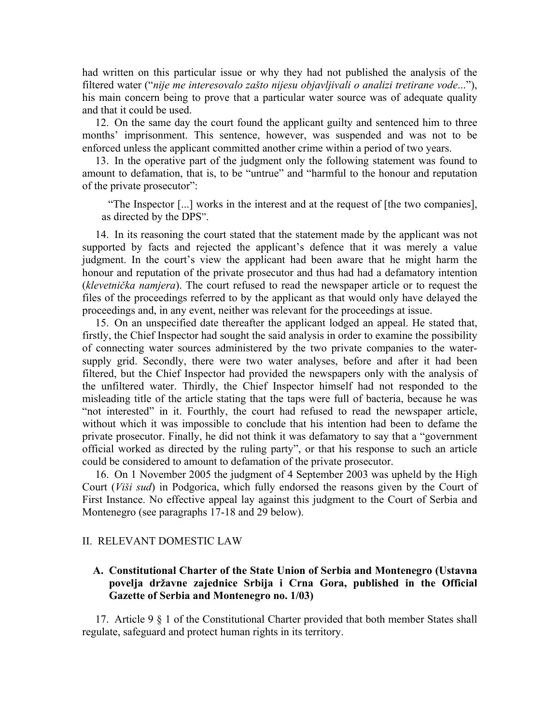had written on this particular issue or why they had not published the analysis of the filtered water ("*nije me interesovalo zašto nijesu objavljivali o analizi tretirane vode*..."), his main concern being to prove that a particular water source was of adequate quality and that it could be used.

12. On the same day the court found the applicant guilty and sentenced him to three months' imprisonment. This sentence, however, was suspended and was not to be enforced unless the applicant committed another crime within a period of two years.

13. In the operative part of the judgment only the following statement was found to amount to defamation, that is, to be "untrue" and "harmful to the honour and reputation of the private prosecutor":

"The Inspector [...] works in the interest and at the request of [the two companies], as directed by the DPS".

14. In its reasoning the court stated that the statement made by the applicant was not supported by facts and rejected the applicant's defence that it was merely a value judgment. In the court's view the applicant had been aware that he might harm the honour and reputation of the private prosecutor and thus had had a defamatory intention (*klevetnička namjera*). The court refused to read the newspaper article or to request the files of the proceedings referred to by the applicant as that would only have delayed the proceedings and, in any event, neither was relevant for the proceedings at issue.

15. On an unspecified date thereafter the applicant lodged an appeal. He stated that, firstly, the Chief Inspector had sought the said analysis in order to examine the possibility of connecting water sources administered by the two private companies to the watersupply grid. Secondly, there were two water analyses, before and after it had been filtered, but the Chief Inspector had provided the newspapers only with the analysis of the unfiltered water. Thirdly, the Chief Inspector himself had not responded to the misleading title of the article stating that the taps were full of bacteria, because he was "not interested" in it. Fourthly, the court had refused to read the newspaper article, without which it was impossible to conclude that his intention had been to defame the private prosecutor. Finally, he did not think it was defamatory to say that a "government official worked as directed by the ruling party", or that his response to such an article could be considered to amount to defamation of the private prosecutor.

16. On 1 November 2005 the judgment of 4 September 2003 was upheld by the High Court (*Viši sud*) in Podgorica, which fully endorsed the reasons given by the Court of First Instance. No effective appeal lay against this judgment to the Court of Serbia and Montenegro (see paragraphs 17-18 and 29 below).

### II. RELEVANT DOMESTIC LAW

# **A. Constitutional Charter of the State Union of Serbia and Montenegro (Ustavna povelja državne zajednice Srbija i Crna Gora, published in the Official Gazette of Serbia and Montenegro no. 1/03)**

17. Article 9 § 1 of the Constitutional Charter provided that both member States shall regulate, safeguard and protect human rights in its territory.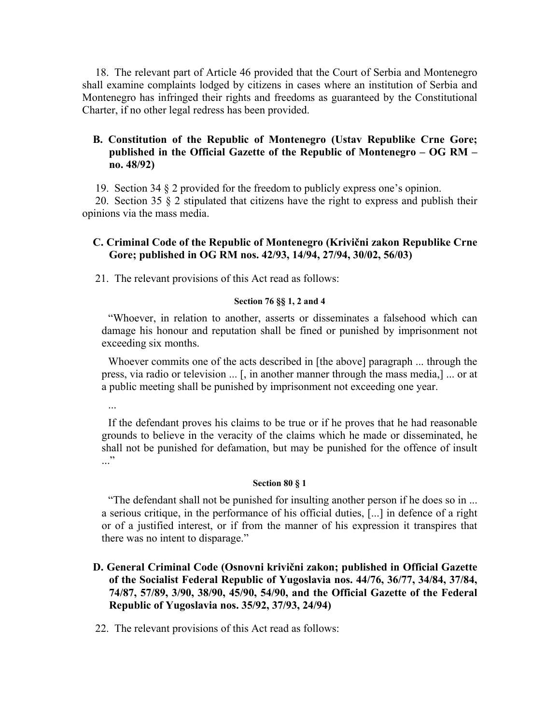18. The relevant part of Article 46 provided that the Court of Serbia and Montenegro shall examine complaints lodged by citizens in cases where an institution of Serbia and Montenegro has infringed their rights and freedoms as guaranteed by the Constitutional Charter, if no other legal redress has been provided.

# **B. Constitution of the Republic of Montenegro (Ustav Republike Crne Gore; published in the Official Gazette of the Republic of Montenegro – OG RM – no. 48/92)**

19. Section 34 § 2 provided for the freedom to publicly express one's opinion.

20. Section 35 § 2 stipulated that citizens have the right to express and publish their opinions via the mass media.

# **C. Criminal Code of the Republic of Montenegro (Krivični zakon Republike Crne Gore; published in OG RM nos. 42/93, 14/94, 27/94, 30/02, 56/03)**

21. The relevant provisions of this Act read as follows:

## **Section 76 §§ 1, 2 and 4**

"Whoever, in relation to another, asserts or disseminates a falsehood which can damage his honour and reputation shall be fined or punished by imprisonment not exceeding six months.

Whoever commits one of the acts described in [the above] paragraph ... through the press, via radio or television ... [, in another manner through the mass media,] ... or at a public meeting shall be punished by imprisonment not exceeding one year.

If the defendant proves his claims to be true or if he proves that he had reasonable grounds to believe in the veracity of the claims which he made or disseminated, he shall not be punished for defamation, but may be punished for the offence of insult  $\cdot$ ..."

# **Section 80 § 1**

"The defendant shall not be punished for insulting another person if he does so in ... a serious critique, in the performance of his official duties, [...] in defence of a right or of a justified interest, or if from the manner of his expression it transpires that there was no intent to disparage."

# **D. General Criminal Code (Osnovni krivični zakon; published in Official Gazette of the Socialist Federal Republic of Yugoslavia nos. 44/76, 36/77, 34/84, 37/84, 74/87, 57/89, 3/90, 38/90, 45/90, 54/90, and the Official Gazette of the Federal Republic of Yugoslavia nos. 35/92, 37/93, 24/94)**

22. The relevant provisions of this Act read as follows: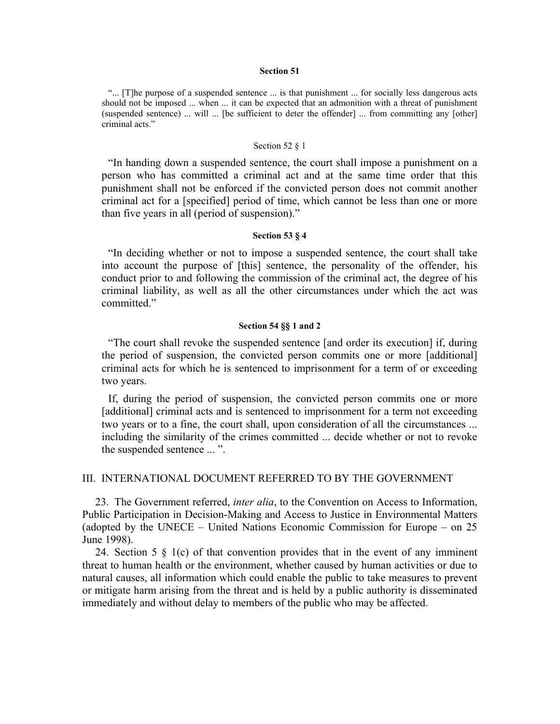#### **Section 51**

"... [T]he purpose of a suspended sentence ... is that punishment ... for socially less dangerous acts should not be imposed ... when ... it can be expected that an admonition with a threat of punishment (suspended sentence) ... will ... [be sufficient to deter the offender] ... from committing any [other] criminal acts."

#### Section 52 § 1

"In handing down a suspended sentence, the court shall impose a punishment on a person who has committed a criminal act and at the same time order that this punishment shall not be enforced if the convicted person does not commit another criminal act for a [specified] period of time, which cannot be less than one or more than five years in all (period of suspension)."

#### **Section 53 § 4**

"In deciding whether or not to impose a suspended sentence, the court shall take into account the purpose of [this] sentence, the personality of the offender, his conduct prior to and following the commission of the criminal act, the degree of his criminal liability, as well as all the other circumstances under which the act was committed."

#### **Section 54 §§ 1 and 2**

"The court shall revoke the suspended sentence [and order its execution] if, during the period of suspension, the convicted person commits one or more [additional] criminal acts for which he is sentenced to imprisonment for a term of or exceeding two years.

If, during the period of suspension, the convicted person commits one or more [additional] criminal acts and is sentenced to imprisonment for a term not exceeding two years or to a fine, the court shall, upon consideration of all the circumstances ... including the similarity of the crimes committed ... decide whether or not to revoke the suspended sentence ... ".

#### III. INTERNATIONAL DOCUMENT REFERRED TO BY THE GOVERNMENT

23. The Government referred, *inter alia*, to the Convention on Access to Information, Public Participation in Decision-Making and Access to Justice in Environmental Matters (adopted by the UNECE – United Nations Economic Commission for Europe – on 25 June 1998).

24. Section 5  $\S$  1(c) of that convention provides that in the event of any imminent threat to human health or the environment, whether caused by human activities or due to natural causes, all information which could enable the public to take measures to prevent or mitigate harm arising from the threat and is held by a public authority is disseminated immediately and without delay to members of the public who may be affected.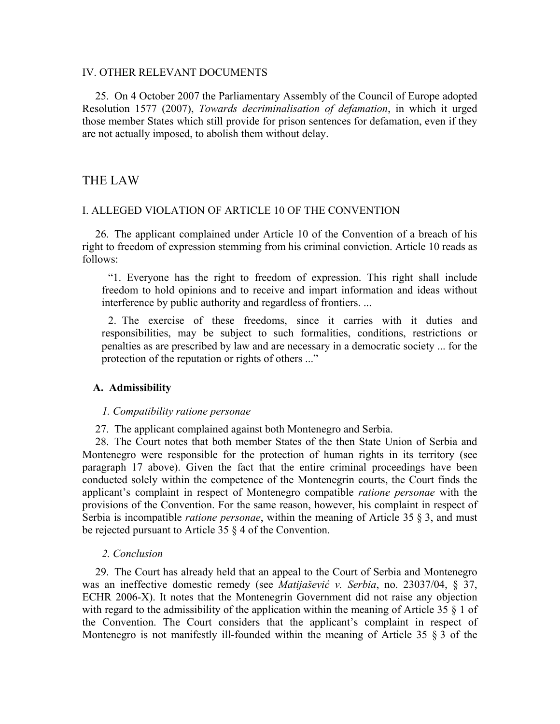# IV. OTHER RELEVANT DOCUMENTS

25. On 4 October 2007 the Parliamentary Assembly of the Council of Europe adopted Resolution 1577 (2007), *Towards decriminalisation of defamation*, in which it urged those member States which still provide for prison sentences for defamation, even if they are not actually imposed, to abolish them without delay.

# THE LAW

### I. ALLEGED VIOLATION OF ARTICLE 10 OF THE CONVENTION

26. The applicant complained under Article 10 of the Convention of a breach of his right to freedom of expression stemming from his criminal conviction. Article 10 reads as follows:

"1. Everyone has the right to freedom of expression. This right shall include freedom to hold opinions and to receive and impart information and ideas without interference by public authority and regardless of frontiers. ...

2. The exercise of these freedoms, since it carries with it duties and responsibilities, may be subject to such formalities, conditions, restrictions or penalties as are prescribed by law and are necessary in a democratic society ... for the protection of the reputation or rights of others ..."

## **A. Admissibility**

#### *1. Compatibility ratione personae*

27. The applicant complained against both Montenegro and Serbia.

28. The Court notes that both member States of the then State Union of Serbia and Montenegro were responsible for the protection of human rights in its territory (see paragraph 17 above). Given the fact that the entire criminal proceedings have been conducted solely within the competence of the Montenegrin courts, the Court finds the applicant's complaint in respect of Montenegro compatible *ratione personae* with the provisions of the Convention. For the same reason, however, his complaint in respect of Serbia is incompatible *ratione personae*, within the meaning of Article 35 § 3, and must be rejected pursuant to Article 35 § 4 of the Convention.

#### *2. Conclusion*

29. The Court has already held that an appeal to the Court of Serbia and Montenegro was an ineffective domestic remedy (see *Matijašević v. Serbia*, no. 23037/04, § 37, ECHR 2006-X). It notes that the Montenegrin Government did not raise any objection with regard to the admissibility of the application within the meaning of Article 35 § 1 of the Convention. The Court considers that the applicant's complaint in respect of Montenegro is not manifestly ill-founded within the meaning of Article 35 § 3 of the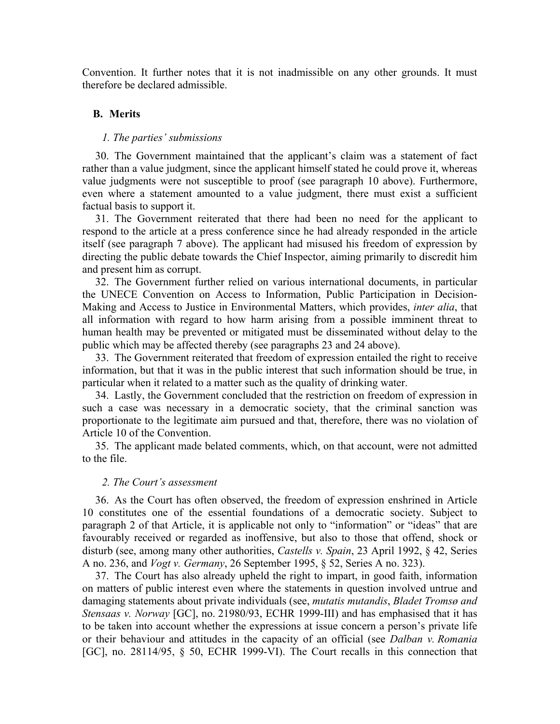Convention. It further notes that it is not inadmissible on any other grounds. It must therefore be declared admissible.

### **B. Merits**

#### *1. The parties' submissions*

30. The Government maintained that the applicant's claim was a statement of fact rather than a value judgment, since the applicant himself stated he could prove it, whereas value judgments were not susceptible to proof (see paragraph 10 above). Furthermore, even where a statement amounted to a value judgment, there must exist a sufficient factual basis to support it.

31. The Government reiterated that there had been no need for the applicant to respond to the article at a press conference since he had already responded in the article itself (see paragraph 7 above). The applicant had misused his freedom of expression by directing the public debate towards the Chief Inspector, aiming primarily to discredit him and present him as corrupt.

32. The Government further relied on various international documents, in particular the UNECE Convention on Access to Information, Public Participation in Decision-Making and Access to Justice in Environmental Matters, which provides, *inter alia*, that all information with regard to how harm arising from a possible imminent threat to human health may be prevented or mitigated must be disseminated without delay to the public which may be affected thereby (see paragraphs 23 and 24 above).

33. The Government reiterated that freedom of expression entailed the right to receive information, but that it was in the public interest that such information should be true, in particular when it related to a matter such as the quality of drinking water.

34. Lastly, the Government concluded that the restriction on freedom of expression in such a case was necessary in a democratic society, that the criminal sanction was proportionate to the legitimate aim pursued and that, therefore, there was no violation of Article 10 of the Convention.

35. The applicant made belated comments, which, on that account, were not admitted to the file.

#### *2. The Court's assessment*

36. As the Court has often observed, the freedom of expression enshrined in Article 10 constitutes one of the essential foundations of a democratic society. Subject to paragraph 2 of that Article, it is applicable not only to "information" or "ideas" that are favourably received or regarded as inoffensive, but also to those that offend, shock or disturb (see, among many other authorities, *Castells v. Spain*, 23 April 1992, § 42, Series A no. 236, and *Vogt v. Germany*, 26 September 1995, § 52, Series A no. 323).

37. The Court has also already upheld the right to impart, in good faith, information on matters of public interest even where the statements in question involved untrue and damaging statements about private individuals (see, *mutatis mutandis*, *Bladet Tromsø and Stensaas v. Norway* [GC], no. 21980/93, ECHR 1999-III) and has emphasised that it has to be taken into account whether the expressions at issue concern a person's private life or their behaviour and attitudes in the capacity of an official (see *Dalban v. Romania* [GC], no. 28114/95, § 50, ECHR 1999-VI). The Court recalls in this connection that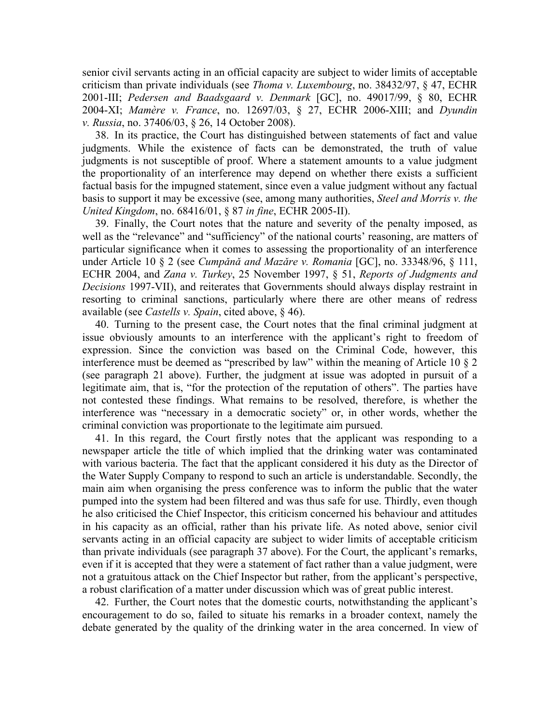senior civil servants acting in an official capacity are subject to wider limits of acceptable criticism than private individuals (see *Thoma v. Luxembourg*, no. 38432/97, § 47, ECHR 2001-III; *Pedersen and Baadsgaard v. Denmark* [GC], no. 49017/99, § 80, ECHR 2004-XI; *Mamère v. France*, no. 12697/03, § 27, ECHR 2006-XIII; and *Dyundin v. Russia*, no. 37406/03, § 26, 14 October 2008).

38. In its practice, the Court has distinguished between statements of fact and value judgments. While the existence of facts can be demonstrated, the truth of value judgments is not susceptible of proof. Where a statement amounts to a value judgment the proportionality of an interference may depend on whether there exists a sufficient factual basis for the impugned statement, since even a value judgment without any factual basis to support it may be excessive (see, among many authorities, *Steel and Morris v. the United Kingdom*, no. 68416/01, § 87 *in fine*, ECHR 2005-II).

39. Finally, the Court notes that the nature and severity of the penalty imposed, as well as the "relevance" and "sufficiency" of the national courts' reasoning, are matters of particular significance when it comes to assessing the proportionality of an interference under Article 10 § 2 (see *Cumpǎnǎ and Mazǎre v. Romania* [GC], no. 33348/96, § 111, ECHR 2004, and *Zana v. Turkey*, 25 November 1997, § 51, *Reports of Judgments and Decisions* 1997-VII), and reiterates that Governments should always display restraint in resorting to criminal sanctions, particularly where there are other means of redress available (see *Castells v. Spain*, cited above, § 46).

40. Turning to the present case, the Court notes that the final criminal judgment at issue obviously amounts to an interference with the applicant's right to freedom of expression. Since the conviction was based on the Criminal Code, however, this interference must be deemed as "prescribed by law" within the meaning of Article 10 § 2 (see paragraph 21 above). Further, the judgment at issue was adopted in pursuit of a legitimate aim, that is, "for the protection of the reputation of others". The parties have not contested these findings. What remains to be resolved, therefore, is whether the interference was "necessary in a democratic society" or, in other words, whether the criminal conviction was proportionate to the legitimate aim pursued.

41. In this regard, the Court firstly notes that the applicant was responding to a newspaper article the title of which implied that the drinking water was contaminated with various bacteria. The fact that the applicant considered it his duty as the Director of the Water Supply Company to respond to such an article is understandable. Secondly, the main aim when organising the press conference was to inform the public that the water pumped into the system had been filtered and was thus safe for use. Thirdly, even though he also criticised the Chief Inspector, this criticism concerned his behaviour and attitudes in his capacity as an official, rather than his private life. As noted above, senior civil servants acting in an official capacity are subject to wider limits of acceptable criticism than private individuals (see paragraph 37 above). For the Court, the applicant's remarks, even if it is accepted that they were a statement of fact rather than a value judgment, were not a gratuitous attack on the Chief Inspector but rather, from the applicant's perspective, a robust clarification of a matter under discussion which was of great public interest.

42. Further, the Court notes that the domestic courts, notwithstanding the applicant's encouragement to do so, failed to situate his remarks in a broader context, namely the debate generated by the quality of the drinking water in the area concerned. In view of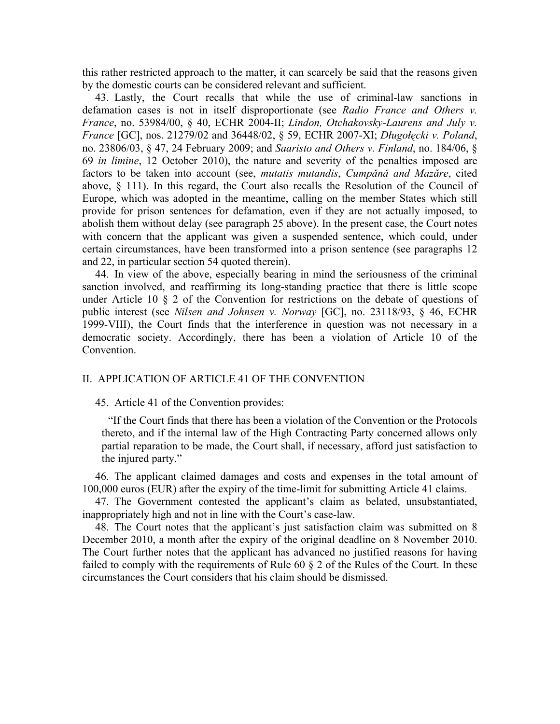this rather restricted approach to the matter, it can scarcely be said that the reasons given by the domestic courts can be considered relevant and sufficient.

43. Lastly, the Court recalls that while the use of criminal-law sanctions in defamation cases is not in itself disproportionate (see *Radio France and Others v. France*, no. 53984/00, § 40, ECHR 2004-II; *Lindon, Otchakovsky-Laurens and July v. France* [GC], nos. 21279/02 and 36448/02, § 59, ECHR 2007-XI; *Długołęcki v. Poland*, no. 23806/03, § 47, 24 February 2009; and *Saaristo and Others v. Finland*, no. 184/06, § 69 *in limine*, 12 October 2010), the nature and severity of the penalties imposed are factors to be taken into account (see, *mutatis mutandis*, *Cumpǎnǎ and Mazǎre*, cited above, § 111). In this regard, the Court also recalls the Resolution of the Council of Europe, which was adopted in the meantime, calling on the member States which still provide for prison sentences for defamation, even if they are not actually imposed, to abolish them without delay (see paragraph 25 above). In the present case, the Court notes with concern that the applicant was given a suspended sentence, which could, under certain circumstances, have been transformed into a prison sentence (see paragraphs 12 and 22, in particular section 54 quoted therein).

44. In view of the above, especially bearing in mind the seriousness of the criminal sanction involved, and reaffirming its long-standing practice that there is little scope under Article 10 § 2 of the Convention for restrictions on the debate of questions of public interest (see *Nilsen and Johnsen v. Norway* [GC], no. 23118/93, § 46, ECHR 1999-VIII), the Court finds that the interference in question was not necessary in a democratic society. Accordingly, there has been a violation of Article 10 of the Convention.

## II. APPLICATION OF ARTICLE 41 OF THE CONVENTION

#### 45. Article 41 of the Convention provides:

"If the Court finds that there has been a violation of the Convention or the Protocols thereto, and if the internal law of the High Contracting Party concerned allows only partial reparation to be made, the Court shall, if necessary, afford just satisfaction to the injured party."

46. The applicant claimed damages and costs and expenses in the total amount of 100,000 euros (EUR) after the expiry of the time-limit for submitting Article 41 claims.

47. The Government contested the applicant's claim as belated, unsubstantiated, inappropriately high and not in line with the Court's case-law.

48. The Court notes that the applicant's just satisfaction claim was submitted on 8 December 2010, a month after the expiry of the original deadline on 8 November 2010. The Court further notes that the applicant has advanced no justified reasons for having failed to comply with the requirements of Rule 60  $\S$  2 of the Rules of the Court. In these circumstances the Court considers that his claim should be dismissed.